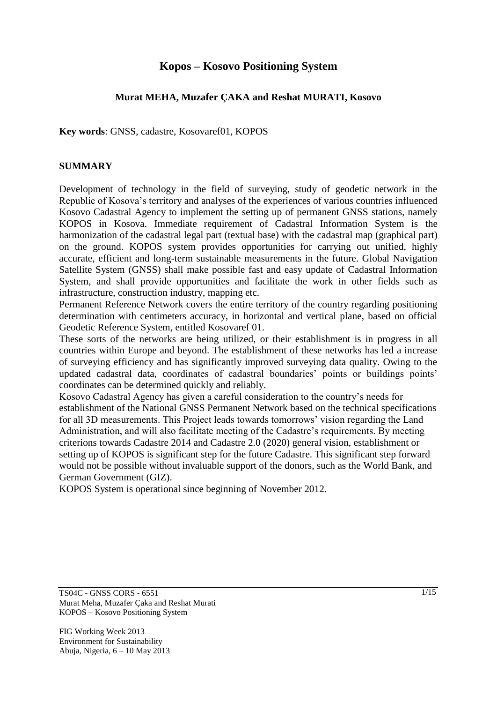# **Kopos – Kosovo Positioning System**

#### **Murat MEHA, Muzafer ÇAKA and Reshat MURATI, Kosovo**

**Key words**: GNSS, cadastre, Kosovaref01, KOPOS

#### **SUMMARY**

Development of technology in the field of surveying, study of geodetic network in the Republic of Kosova's territory and analyses of the experiences of various countries influenced Kosovo Cadastral Agency to implement the setting up of permanent GNSS stations, namely KOPOS in Kosova. Immediate requirement of Cadastral Information System is the harmonization of the cadastral legal part (textual base) with the cadastral map (graphical part) on the ground. KOPOS system provides opportunities for carrying out unified, highly accurate, efficient and long-term sustainable measurements in the future. Global Navigation Satellite System (GNSS) shall make possible fast and easy update of Cadastral Information System, and shall provide opportunities and facilitate the work in other fields such as infrastructure, construction industry, mapping etc.

Permanent Reference Network covers the entire territory of the country regarding positioning determination with centimeters accuracy, in horizontal and vertical plane, based on official Geodetic Reference System, entitled Kosovaref 01.

These sorts of the networks are being utilized, or their establishment is in progress in all countries within Europe and beyond. The establishment of these networks has led a increase of surveying efficiency and has significantly improved surveying data quality. Owing to the updated cadastral data, coordinates of cadastral boundaries' points or buildings points' coordinates can be determined quickly and reliably.

Kosovo Cadastral Agency has given a careful consideration to the country's needs for establishment of the National GNSS Permanent Network based on the technical specifications for all 3D measurements. This Project leads towards tomorrows' vision regarding the Land Administration, and will also facilitate meeting of the Cadastre's requirements. By meeting criterions towards Cadastre 2014 and Cadastre 2.0 (2020) general vision, establishment or setting up of KOPOS is significant step for the future Cadastre. This significant step forward would not be possible without invaluable support of the donors, such as the World Bank, and German Government (GIZ).

KOPOS System is operational since beginning of November 2012.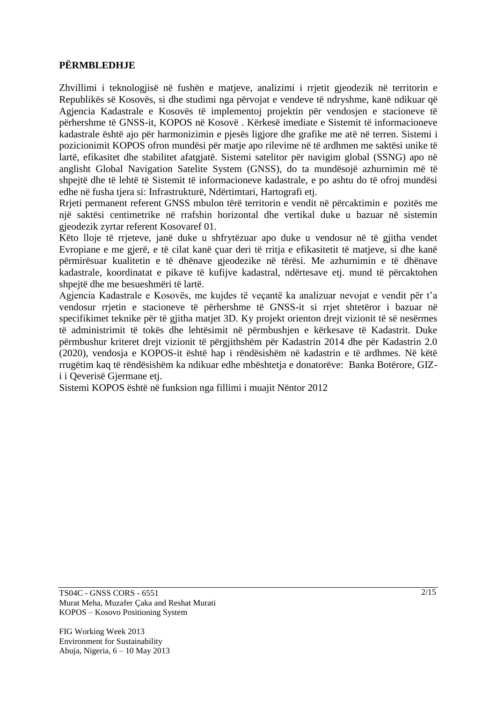### **PËRMBLEDHJE**

Zhvillimi i teknologjisë në fushën e matjeve, analizimi i rrjetit gjeodezik në territorin e Republikës së Kosovës, si dhe studimi nga përvojat e vendeve të ndryshme, kanë ndikuar që Agjencia Kadastrale e Kosovës të implementoj projektin për vendosjen e stacioneve të përhershme të GNSS-it, KOPOS në Kosovë . Kërkesë imediate e Sistemit të informacioneve kadastrale është ajo për harmonizimin e pjesës ligjore dhe grafike me atë në terren. Sistemi i pozicionimit KOPOS ofron mundësi për matje apo rilevime në të ardhmen me saktësi unike të lartë, efikasitet dhe stabilitet afatgjatë. Sistemi satelitor për navigim global (SSNG) apo në anglisht Global Navigation Satelite System (GNSS), do ta mundësojë azhurnimin më të shpejtë dhe të lehtë të Sistemit të informacioneve kadastrale, e po ashtu do të ofroj mundësi edhe në fusha tjera si: Infrastrukturë, Ndërtimtari, Hartografi etj.

Rrjeti permanent referent GNSS mbulon tërë territorin e vendit në përcaktimin e pozitës me një saktësi centimetrike në rrafshin horizontal dhe vertikal duke u bazuar në sistemin gjeodezik zyrtar referent Kosovaref 01.

Këto lloje të rrjeteve, janë duke u shfrytëzuar apo duke u vendosur në të gjitha vendet Evropiane e me gjerë, e të cilat kanë çuar deri të rritja e efikasitetit të matjeve, si dhe kanë përmirësuar kualitetin e të dhënave gjeodezike në tërësi. Me azhurnimin e të dhënave kadastrale, koordinatat e pikave të kufijve kadastral, ndërtesave etj. mund të përcaktohen shpejtë dhe me besueshmëri të lartë.

Agjencia Kadastrale e Kosovës, me kujdes të veçantë ka analizuar nevojat e vendit për t'a vendosur rrjetin e stacioneve të përhershme të GNSS-it si rrjet shtetëror i bazuar në specifikimet teknike për të gjitha matjet 3D. Ky projekt orienton drejt vizionit të së nesërmes të administrimit të tokës dhe lehtësimit në përmbushjen e kërkesave të Kadastrit. Duke përmbushur kriteret drejt vizionit të përgjithshëm për Kadastrin 2014 dhe për Kadastrin 2.0 (2020), vendosja e KOPOS-it është hap i rëndësishëm në kadastrin e të ardhmes. Në këtë rrugëtim kaq të rëndësishëm ka ndikuar edhe mbështetja e donatorëve: Banka Botërore, GIZi i Qeverisë Gjermane etj.

Sistemi KOPOS është në funksion nga fillimi i muajit Nëntor 2012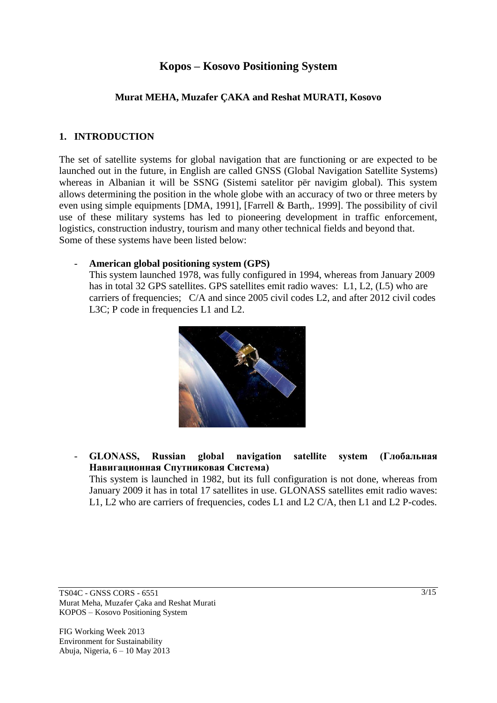# **Kopos – Kosovo Positioning System**

#### **Murat MEHA, Muzafer ÇAKA and Reshat MURATI, Kosovo**

#### **1. INTRODUCTION**

The set of satellite systems for global navigation that are functioning or are expected to be launched out in the future, in English are called GNSS (Global Navigation Satellite Systems) whereas in Albanian it will be SSNG (Sistemi satelitor për navigim global). This system allows determining the position in the whole globe with an accuracy of two or three meters by even using simple equipments [DMA, 1991], [Farrell & Barth,. 1999]. The possibility of civil use of these military systems has led to pioneering development in traffic enforcement, logistics, construction industry, tourism and many other technical fields and beyond that. Some of these systems have been listed below:

#### - **American global positioning system (GPS)**

This system launched 1978, was fully configured in 1994, whereas from January 2009 has in total 32 GPS satellites. GPS satellites emit radio waves: L1, L2, (L5) who are carriers of frequencies; C/A and since 2005 civil codes L2, and after 2012 civil codes L3C; P code in frequencies L1 and L2.



### - **GLONASS, Russian global navigation satellite system (Глобальная Навигационная Спутниковая Система)**

This system is launched in 1982, but its full configuration is not done, whereas from January 2009 it has in total 17 satellites in use. GLONASS satellites emit radio waves: L1, L2 who are carriers of frequencies, codes L1 and L2 C/A, then L1 and L2 P-codes.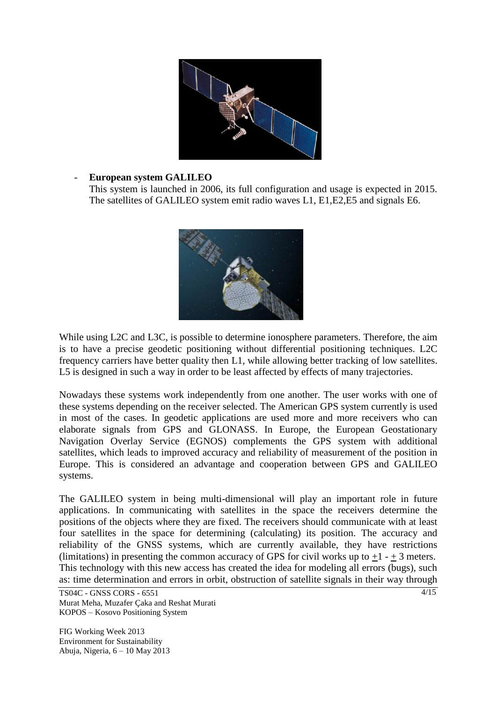

#### - **European system GALILEO**

This system is launched in 2006, its full configuration and usage is expected in 2015. The satellites of GALILEO system emit radio waves L1, E1,E2,E5 and signals E6.



While using L2C and L3C, is possible to determine ionosphere parameters. Therefore, the aim is to have a precise geodetic positioning without differential positioning techniques. L2C frequency carriers have better quality then L1, while allowing better tracking of low satellites. L5 is designed in such a way in order to be least affected by effects of many trajectories.

Nowadays these systems work independently from one another. The user works with one of these systems depending on the receiver selected. The American GPS system currently is used in most of the cases. In geodetic applications are used more and more receivers who can elaborate signals from GPS and GLONASS. In Europe, the European Geostationary Navigation Overlay Service (EGNOS) complements the GPS system with additional satellites, which leads to improved accuracy and reliability of measurement of the position in Europe. This is considered an advantage and cooperation between GPS and GALILEO systems.

The GALILEO system in being multi-dimensional will play an important role in future applications. In communicating with satellites in the space the receivers determine the positions of the objects where they are fixed. The receivers should communicate with at least four satellites in the space for determining (calculating) its position. The accuracy and reliability of the GNSS systems, which are currently available, they have restrictions (limitations) in presenting the common accuracy of GPS for civil works up to  $+1 - +3$  meters. This technology with this new access has created the idea for modeling all errors (bugs), such as: time determination and errors in orbit, obstruction of satellite signals in their way through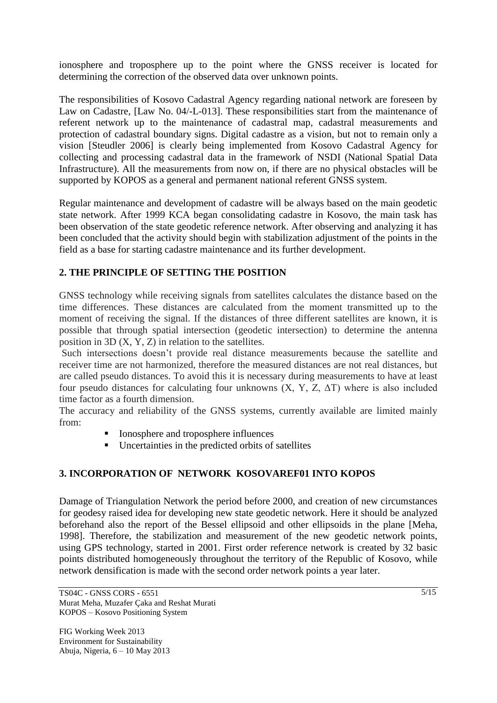ionosphere and troposphere up to the point where the GNSS receiver is located for determining the correction of the observed data over unknown points.

The responsibilities of Kosovo Cadastral Agency regarding national network are foreseen by Law on Cadastre, [Law No. 04/-L-013]. These responsibilities start from the maintenance of referent network up to the maintenance of cadastral map, cadastral measurements and protection of cadastral boundary signs. Digital cadastre as a vision, but not to remain only a vision [Steudler 2006] is clearly being implemented from Kosovo Cadastral Agency for collecting and processing cadastral data in the framework of NSDI (National Spatial Data Infrastructure). All the measurements from now on, if there are no physical obstacles will be supported by KOPOS as a general and permanent national referent GNSS system.

Regular maintenance and development of cadastre will be always based on the main geodetic state network. After 1999 KCA began consolidating cadastre in Kosovo, the main task has been observation of the state geodetic reference network. After observing and analyzing it has been concluded that the activity should begin with stabilization adjustment of the points in the field as a base for starting cadastre maintenance and its further development.

# **2. THE PRINCIPLE OF SETTING THE POSITION**

GNSS technology while receiving signals from satellites calculates the distance based on the time differences. These distances are calculated from the moment transmitted up to the moment of receiving the signal. If the distances of three different satellites are known, it is possible that through spatial intersection (geodetic intersection) to determine the antenna position in 3D (X, Y, Z) in relation to the satellites.

Such intersections doesn't provide real distance measurements because the satellite and receiver time are not harmonized, therefore the measured distances are not real distances, but are called pseudo distances. To avoid this it is necessary during measurements to have at least four pseudo distances for calculating four unknowns  $(X, Y, Z, \Delta T)$  where is also included time factor as a fourth dimension.

The accuracy and reliability of the GNSS systems, currently available are limited mainly from:

- Ionosphere and troposphere influences
- Uncertainties in the predicted orbits of satellites

## **3. INCORPORATION OF NETWORK KOSOVAREF01 INTO KOPOS**

Damage of Triangulation Network the period before 2000, and creation of new circumstances for geodesy raised idea for developing new state geodetic network. Here it should be analyzed beforehand also the report of the Bessel ellipsoid and other ellipsoids in the plane [Meha, 1998]. Therefore, the stabilization and measurement of the new geodetic network points, using GPS technology, started in 2001. First order reference network is created by 32 basic points distributed homogeneously throughout the territory of the Republic of Kosovo, while network densification is made with the second order network points a year later.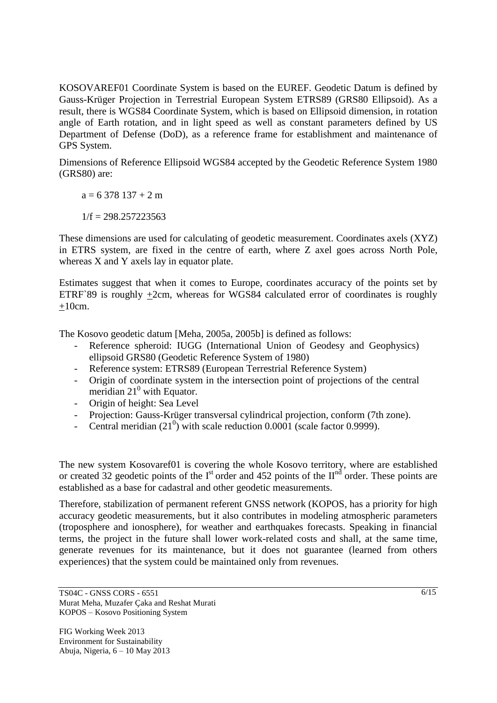KOSOVAREF01 Coordinate System is based on the EUREF. Geodetic Datum is defined by Gauss-Krüger Projection in Terrestrial European System ETRS89 (GRS80 Ellipsoid). As a result, there is WGS84 Coordinate System, which is based on Ellipsoid dimension, in rotation angle of Earth rotation, and in light speed as well as constant parameters defined by US Department of Defense (DoD), as a reference frame for establishment and maintenance of GPS System.

Dimensions of Reference Ellipsoid WGS84 accepted by the Geodetic Reference System 1980 (GRS80) are:

 $a = 6378137 + 2 m$ 

 $1/f = 298.257223563$ 

These dimensions are used for calculating of geodetic measurement. Coordinates axels (XYZ) in ETRS system, are fixed in the centre of earth, where Z axel goes across North Pole, whereas X and Y axels lay in equator plate.

Estimates suggest that when it comes to Europe, coordinates accuracy of the points set by ETRF`89 is roughly  $\pm$ 2cm, whereas for WGS84 calculated error of coordinates is roughly  $+10$ cm.

The Kosovo geodetic datum [Meha, 2005a, 2005b] is defined as follows:

- Reference spheroid: IUGG (International Union of Geodesy and Geophysics) ellipsoid GRS80 (Geodetic Reference System of 1980)
- Reference system: ETRS89 (European Terrestrial Reference System)
- Origin of coordinate system in the intersection point of projections of the central meridian  $21^0$  with Equator.
- Origin of height: Sea Level
- Projection: Gauss-Krüger transversal cylindrical projection, conform (7th zone).
- Central meridian  $(21^0)$  with scale reduction 0.0001 (scale factor 0.9999).

The new system Kosovaref01 is covering the whole Kosovo territory, where are established or created 32 geodetic points of the  $I<sup>st</sup>$  order and 452 points of the  $II<sup>nd</sup>$  order. These points are established as a base for cadastral and other geodetic measurements.

Therefore, stabilization of permanent referent GNSS network (KOPOS, has a priority for high accuracy geodetic measurements, but it also contributes in modeling atmospheric parameters (troposphere and ionosphere), for weather and earthquakes forecasts. Speaking in financial terms, the project in the future shall lower work-related costs and shall, at the same time, generate revenues for its maintenance, but it does not guarantee (learned from others experiences) that the system could be maintained only from revenues.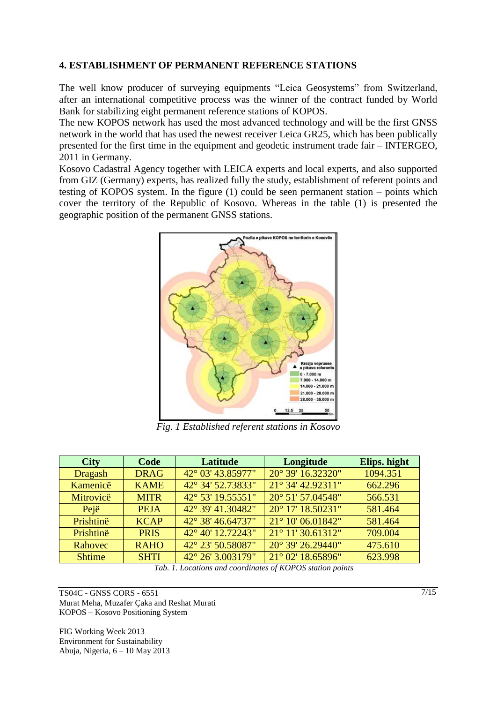#### **4. ESTABLISHMENT OF PERMANENT REFERENCE STATIONS**

The well know producer of surveying equipments "Leica Geosystems" from Switzerland, after an international competitive process was the winner of the contract funded by World Bank for stabilizing eight permanent reference stations of KOPOS.

The new KOPOS network has used the most advanced technology and will be the first GNSS network in the world that has used the newest receiver Leica GR25, which has been publically presented for the first time in the equipment and geodetic instrument trade fair – INTERGEO, 2011 in Germany.

Kosovo Cadastral Agency together with LEICA experts and local experts, and also supported from GIZ (Germany) experts, has realized fully the study, establishment of referent points and testing of KOPOS system. In the figure (1) could be seen permanent station – points which cover the territory of the Republic of Kosovo. Whereas in the table (1) is presented the geographic position of the permanent GNSS stations.



*Fig. 1 Established referent stations in Kosovo*

| <b>City</b>    | Code        | Latitude          | Longitude         | Elips. hight |
|----------------|-------------|-------------------|-------------------|--------------|
| <b>Dragash</b> | <b>DRAG</b> | 42° 03' 43.85977" | 20° 39' 16.32320" | 1094.351     |
| Kamenicë       | <b>KAME</b> | 42° 34' 52.73833" | 21° 34' 42.92311" | 662.296      |
| Mitrovicë      | <b>MITR</b> | 42° 53' 19.55551" | 20° 51' 57.04548" | 566.531      |
| Pejë           | <b>PEJA</b> | 42° 39' 41.30482" | 20° 17' 18.50231" | 581.464      |
| Prishtinë      | <b>KCAP</b> | 42° 38' 46.64737" | 21° 10' 06.01842" | 581.464      |
| Prishtinë      | <b>PRIS</b> | 42° 40' 12.72243" | 21° 11' 30.61312" | 709.004      |
| Rahovec        | <b>RAHO</b> | 42° 23' 50.58087" | 20° 39' 26.29440" | 475.610      |
| <b>Shtime</b>  | <b>SHTI</b> | 42° 26' 3.003179" | 21° 02′ 18.65896″ | 623.998      |

 *Tab. 1. Locations and coordinates of KOPOS station points* 

TS04C - GNSS CORS - 6551 Murat Meha, Muzafer Çaka and Reshat Murati KOPOS – Kosovo Positioning System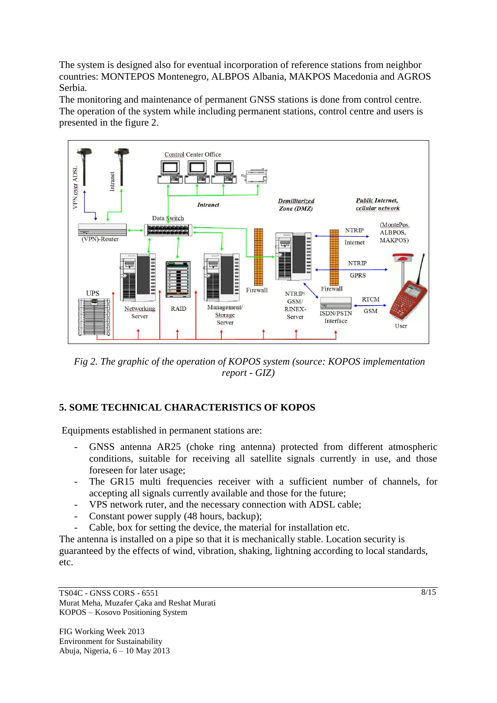The system is designed also for eventual incorporation of reference stations from neighbor countries: MONTEPOS Montenegro, ALBPOS Albania, MAKPOS Macedonia and AGROS Serbia.

The monitoring and maintenance of permanent GNSS stations is done from control centre. The operation of the system while including permanent stations, control centre and users is presented in the figure 2.



*Fig 2. The graphic of the operation of KOPOS system (source: KOPOS implementation report - GIZ)* 

## **5. SOME TECHNICAL CHARACTERISTICS OF KOPOS**

Equipments established in permanent stations are:

- GNSS antenna AR25 (choke ring antenna) protected from different atmospheric conditions, suitable for receiving all satellite signals currently in use, and those foreseen for later usage;
- The GR15 multi frequencies receiver with a sufficient number of channels, for accepting all signals currently available and those for the future;
- VPS network ruter, and the necessary connection with ADSL cable;
- Constant power supply (48 hours, backup);
- Cable, box for setting the device, the material for installation etc.

The antenna is installed on a pipe so that it is mechanically stable. Location security is guaranteed by the effects of wind, vibration, shaking, lightning according to local standards, etc.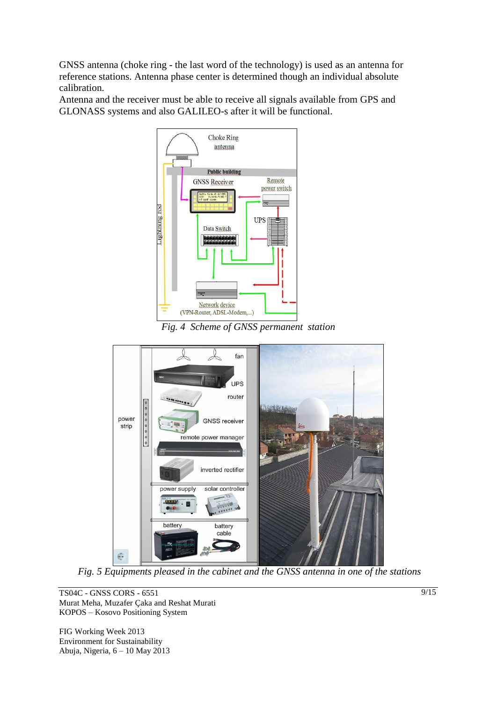GNSS antenna (choke ring - the last word of the technology) is used as an antenna for reference stations. Antenna phase center is determined though an individual absolute calibration.

Antenna and the receiver must be able to receive all signals available from GPS and GLONASS systems and also GALILEO-s after it will be functional.



*Fig. 4 Scheme of GNSS permanent station* 



*Fig. 5 Equipments pleased in the cabinet and the GNSS antenna in one of the stations* 

TS04C - GNSS CORS - 6551 Murat Meha, Muzafer Çaka and Reshat Murati KOPOS – Kosovo Positioning System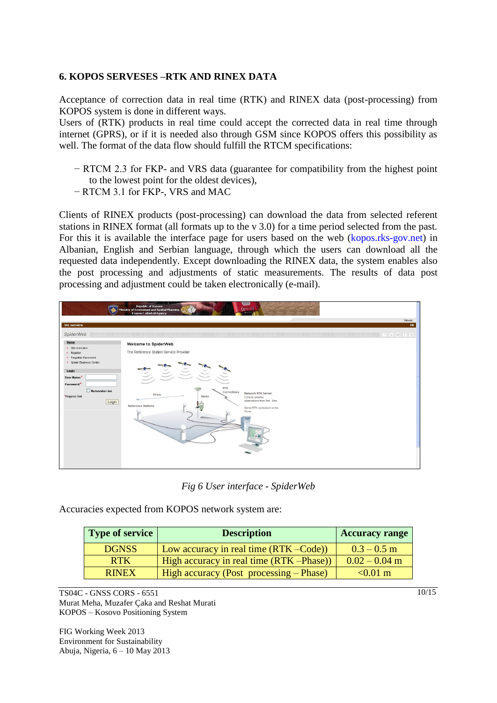#### **6. KOPOS SERVESES –RTK AND RINEX DATA**

Acceptance of correction data in real time (RTK) and RINEX data (post-processing) from KOPOS system is done in different ways.

Users of (RTK) products in real time could accept the corrected data in real time through internet (GPRS), or if it is needed also through GSM since KOPOS offers this possibility as well. The format of the data flow should fulfill the RTCM specifications:

- − RTCM 2.3 for FKP- and VRS data (guarantee for compatibility from the highest point to the lowest point for the oldest devices),
- − RTCM 3.1 for FKP-, VRS and MAC

Clients of RINEX products (post-processing) can download the data from selected referent stations in RINEX format (all formats up to the v 3.0) for a time period selected from the past. For this it is available the interface page for users based on the web (kopos.rks-gov.net) in Albanian, English and Serbian language, through which the users can download all the requested data independently. Except downloading the RINEX data, the system enables also the post processing and adjustments of static measurements. The results of data post processing and adjustment could be taken electronically (e-mail).



*Fig 6 User interface - SpiderWeb*

Accuracies expected from KOPOS network system are:

| <b>Type of service</b> | <b>Description</b>                                | <b>Accuracy range</b> |
|------------------------|---------------------------------------------------|-----------------------|
| <b>DGNSS</b>           | Low accuracy in real time (RTK –Code))            | $0.3 - 0.5$ m         |
| <b>RTK</b>             | $\vert$ High accuracy in real time (RTK – Phase)) | $0.02 - 0.04$ m       |
| <b>RINEX</b>           | $\vert$ High accuracy (Post processing – Phase)   | $< 0.01 \text{ m}$    |

TS04C - GNSS CORS - 6551 Murat Meha, Muzafer Çaka and Reshat Murati KOPOS – Kosovo Positioning System

FIG Working Week 2013 Environment for Sustainability Abuja, Nigeria, 6 – 10 May 2013  $10/15$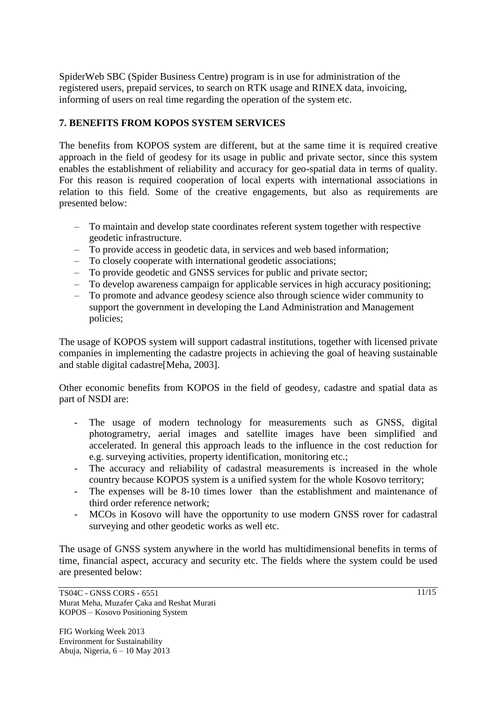SpiderWeb SBC (Spider Business Centre) program is in use for administration of the registered users, prepaid services, to search on RTK usage and RINEX data, invoicing, informing of users on real time regarding the operation of the system etc.

### **7. BENEFITS FROM KOPOS SYSTEM SERVICES**

The benefits from KOPOS system are different, but at the same time it is required creative approach in the field of geodesy for its usage in public and private sector, since this system enables the establishment of reliability and accuracy for geo-spatial data in terms of quality. For this reason is required cooperation of local experts with international associations in relation to this field. Some of the creative engagements, but also as requirements are presented below:

- To maintain and develop state coordinates referent system together with respective geodetic infrastructure.
- To provide access in geodetic data, in services and web based information;
- To closely cooperate with international geodetic associations;
- To provide geodetic and GNSS services for public and private sector;
- To develop awareness campaign for applicable services in high accuracy positioning;
- To promote and advance geodesy science also through science wider community to support the government in developing the Land Administration and Management policies;

The usage of KOPOS system will support cadastral institutions, together with licensed private companies in implementing the cadastre projects in achieving the goal of heaving sustainable and stable digital cadastre[Meha, 2003].

Other economic benefits from KOPOS in the field of geodesy, cadastre and spatial data as part of NSDI are:

- The usage of modern technology for measurements such as GNSS, digital photogrametry, aerial images and satellite images have been simplified and accelerated. In general this approach leads to the influence in the cost reduction for e.g. surveying activities, property identification, monitoring etc.;
- The accuracy and reliability of cadastral measurements is increased in the whole country because KOPOS system is a unified system for the whole Kosovo territory;
- The expenses will be 8-10 times lower than the establishment and maintenance of third order reference network;
- MCOs in Kosovo will have the opportunity to use modern GNSS rover for cadastral surveying and other geodetic works as well etc.

The usage of GNSS system anywhere in the world has multidimensional benefits in terms of time, financial aspect, accuracy and security etc. The fields where the system could be used are presented below: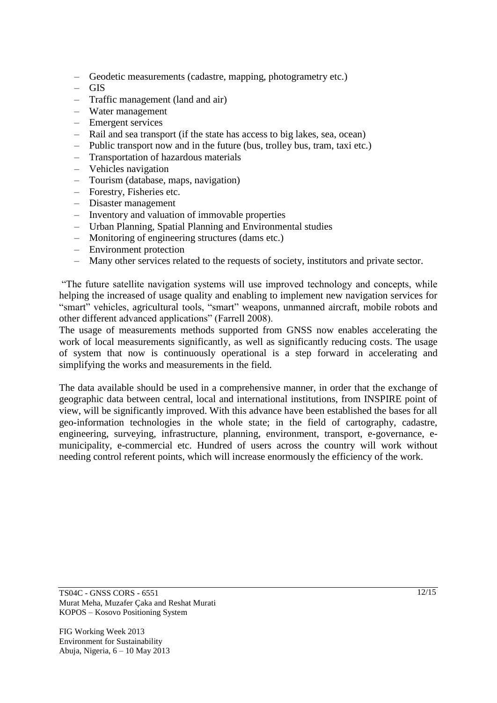- Geodetic measurements (cadastre, mapping, photogrametry etc.)
- GIS
- Traffic management (land and air)
- Water management
- Emergent services
- Rail and sea transport (if the state has access to big lakes, sea, ocean)
- Public transport now and in the future (bus, trolley bus, tram, taxi etc.)
- Transportation of hazardous materials
- Vehicles navigation
- Tourism (database, maps, navigation)
- Forestry, Fisheries etc.
- Disaster management
- Inventory and valuation of immovable properties
- Urban Planning, Spatial Planning and Environmental studies
- Monitoring of engineering structures (dams etc.)
- Environment protection
- Many other services related to the requests of society, institutors and private sector.

"The future satellite navigation systems will use improved technology and concepts, while helping the increased of usage quality and enabling to implement new navigation services for "smart" vehicles, agricultural tools, "smart" weapons, unmanned aircraft, mobile robots and other different advanced applications" (Farrell 2008).

The usage of measurements methods supported from GNSS now enables accelerating the work of local measurements significantly, as well as significantly reducing costs. The usage of system that now is continuously operational is a step forward in accelerating and simplifying the works and measurements in the field.

The data available should be used in a comprehensive manner, in order that the exchange of geographic data between central, local and international institutions, from INSPIRE point of view, will be significantly improved. With this advance have been established the bases for all geo-information technologies in the whole state; in the field of cartography, cadastre, engineering, surveying, infrastructure, planning, environment, transport, e-governance, emunicipality, e-commercial etc. Hundred of users across the country will work without needing control referent points, which will increase enormously the efficiency of the work.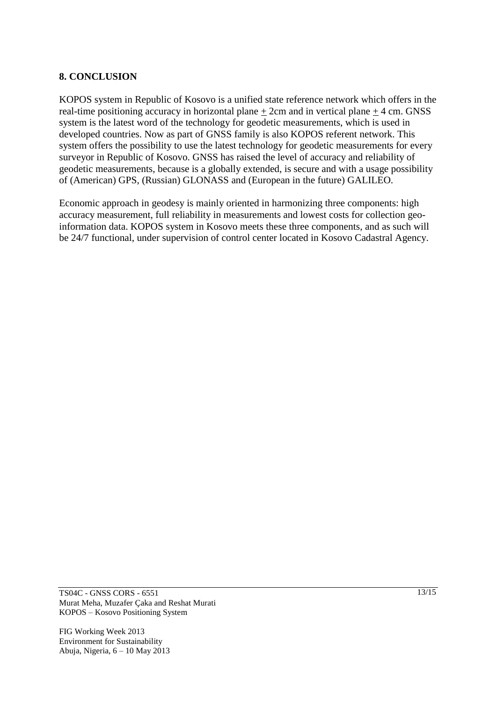### **8. CONCLUSION**

KOPOS system in Republic of Kosovo is a unified state reference network which offers in the real-time positioning accuracy in horizontal plane + 2cm and in vertical plane + 4 cm. GNSS system is the latest word of the technology for geodetic measurements, which is used in developed countries. Now as part of GNSS family is also KOPOS referent network. This system offers the possibility to use the latest technology for geodetic measurements for every surveyor in Republic of Kosovo. GNSS has raised the level of accuracy and reliability of geodetic measurements, because is a globally extended, is secure and with a usage possibility of (American) GPS, (Russian) GLONASS and (European in the future) GALILEO.

Economic approach in geodesy is mainly oriented in harmonizing three components: high accuracy measurement, full reliability in measurements and lowest costs for collection geoinformation data. KOPOS system in Kosovo meets these three components, and as such will be 24/7 functional, under supervision of control center located in Kosovo Cadastral Agency.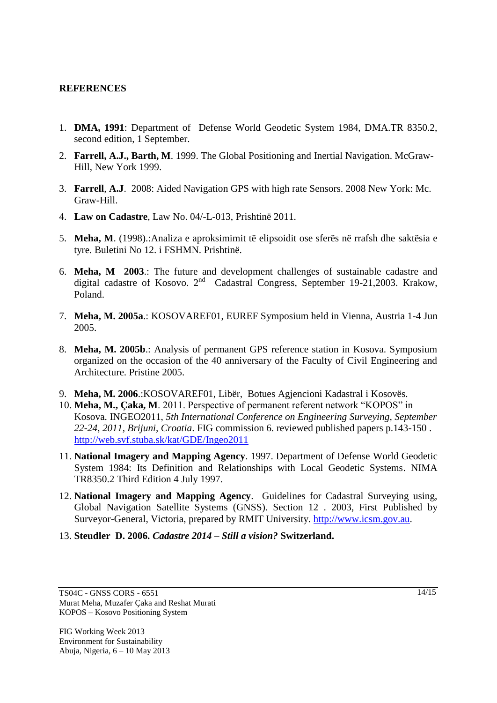### **REFERENCES**

- 1. **DMA, 1991**: Department of Defense World Geodetic System 1984, DMA.TR 8350.2, second edition, 1 September.
- 2. **Farrell, A.J., Barth, M**. 1999. The Global Positioning and Inertial Navigation. McGraw-Hill, New York 1999.
- 3. **[Farrell](http://www.google.com/search?tbo=p&tbm=bks&q=inauthor:%22Jay+A.+Farrell%22)**, **A.J**. 2008: Aided Navigation GPS with high rate Sensors. 2008 New York: Mc. Graw-Hill.
- 4. **Law on Cadastre**, Law No. 04/-L-013, Prishtinë 2011.
- 5. **Meha, M**. (1998).:Analiza e aproksimimit të elipsoidit ose sferës në rrafsh dhe saktësia e tyre. Buletini No 12. i FSHMN. Prishtinë.
- 6. **Meha, M 2003**.: The future and development challenges of sustainable cadastre and digital cadastre of Kosovo. 2<sup>nd</sup> Cadastral Congress, September 19-21,2003. Krakow, Poland.
- 7. **Meha, M. 2005a**.: KOSOVAREF01, EUREF Symposium held in Vienna, Austria 1-4 Jun 2005.
- 8. **Meha, M. 2005b**.: Analysis of permanent GPS reference station in Kosova. Symposium organized on the occasion of the 40 anniversary of the Faculty of Civil Engineering and Architecture. Pristine 2005.
- 9. **Meha, M. 2006**.:KOSOVAREF01, Libër, Botues Agjencioni Kadastral i Kosovës.
- 10. **Meha, M., Çaka, M**. 2011. Perspective of permanent referent network "KOPOS" in Kosova. INGEO2011, *5th International Conference on Engineering Surveying, September 22-24, 2011, Brijuni, Croatia*. FIG commission 6. reviewed published papers p.143-150 . <http://web.svf.stuba.sk/kat/GDE/Ingeo2011>
- 11. **National Imagery and Mapping Agency**. 1997. Department of Defense World Geodetic System 1984: Its Definition and Relationships with Local Geodetic Systems. NIMA TR8350.2 Third Edition 4 July 1997.
- 12. **National Imagery and Mapping Agency**. Guidelines for Cadastral Surveying using, Global Navigation Satellite Systems (GNSS). Section 12 . 2003, First Published by Surveyor-General, Victoria, prepared by RMIT University. [http://www.icsm.gov.au.](http://www.icsm.gov.au/)
- 13. **Steudler D. 2006.** *Cadastre 2014 – Still a vision?* **Switzerland.**